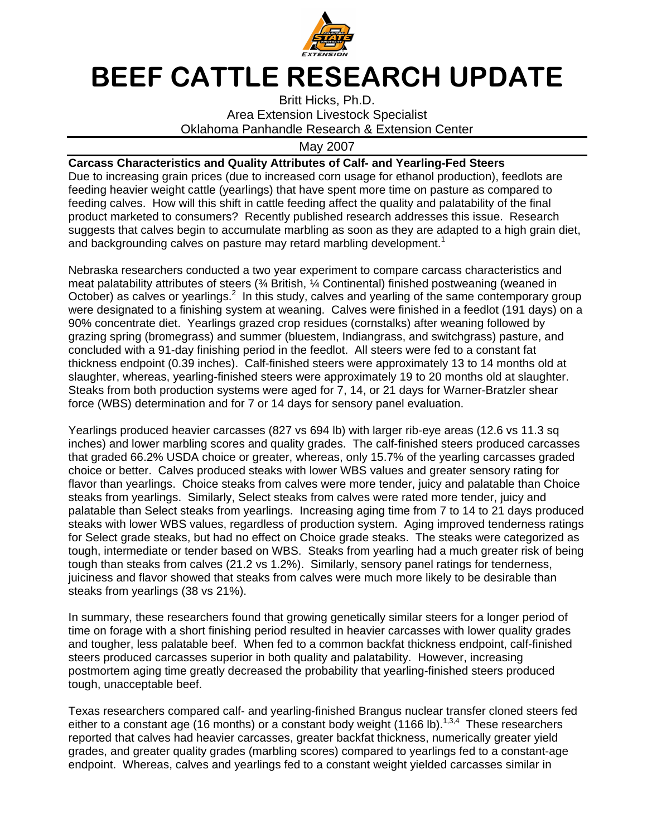

## BEEF CATTLE RESEARCH UPDATE

Britt Hicks, Ph.D. Area Extension Livestock Specialist Oklahoma Panhandle Research & Extension Center

May 2007

## **Carcass Characteristics and Quality Attributes of Calf- and Yearling-Fed Steers**

Due to increasing grain prices (due to increased corn usage for ethanol production), feedlots are feeding heavier weight cattle (yearlings) that have spent more time on pasture as compared to feeding calves. How will this shift in cattle feeding affect the quality and palatability of the final product marketed to consumers? Recently published research addresses this issue. Research suggests that calves begin to accumulate marbling as soon as they are adapted to a high grain diet, and backgrounding calves on pasture may retard marbling development.<sup>1</sup>

Nebraska researchers conducted a two year experiment to compare carcass characteristics and meat palatability attributes of steers (¾ British, ¼ Continental) finished postweaning (weaned in October) as calves or yearlings. $2$  In this study, calves and yearling of the same contemporary group were designated to a finishing system at weaning. Calves were finished in a feedlot (191 days) on a 90% concentrate diet. Yearlings grazed crop residues (cornstalks) after weaning followed by grazing spring (bromegrass) and summer (bluestem, Indiangrass, and switchgrass) pasture, and concluded with a 91-day finishing period in the feedlot. All steers were fed to a constant fat thickness endpoint (0.39 inches). Calf-finished steers were approximately 13 to 14 months old at slaughter, whereas, yearling-finished steers were approximately 19 to 20 months old at slaughter. Steaks from both production systems were aged for 7, 14, or 21 days for Warner-Bratzler shear force (WBS) determination and for 7 or 14 days for sensory panel evaluation.

Yearlings produced heavier carcasses (827 vs 694 lb) with larger rib-eye areas (12.6 vs 11.3 sq inches) and lower marbling scores and quality grades. The calf-finished steers produced carcasses that graded 66.2% USDA choice or greater, whereas, only 15.7% of the yearling carcasses graded choice or better. Calves produced steaks with lower WBS values and greater sensory rating for flavor than yearlings. Choice steaks from calves were more tender, juicy and palatable than Choice steaks from yearlings. Similarly, Select steaks from calves were rated more tender, juicy and palatable than Select steaks from yearlings. Increasing aging time from 7 to 14 to 21 days produced steaks with lower WBS values, regardless of production system. Aging improved tenderness ratings for Select grade steaks, but had no effect on Choice grade steaks. The steaks were categorized as tough, intermediate or tender based on WBS. Steaks from yearling had a much greater risk of being tough than steaks from calves (21.2 vs 1.2%). Similarly, sensory panel ratings for tenderness, juiciness and flavor showed that steaks from calves were much more likely to be desirable than steaks from yearlings (38 vs 21%).

In summary, these researchers found that growing genetically similar steers for a longer period of time on forage with a short finishing period resulted in heavier carcasses with lower quality grades and tougher, less palatable beef. When fed to a common backfat thickness endpoint, calf-finished steers produced carcasses superior in both quality and palatability. However, increasing postmortem aging time greatly decreased the probability that yearling-finished steers produced tough, unacceptable beef.

Texas researchers compared calf- and yearling-finished Brangus nuclear transfer cloned steers fed either to a constant age (16 months) or a constant body weight (1166 lb).<sup>1,3,4</sup> These researchers reported that calves had heavier carcasses, greater backfat thickness, numerically greater yield grades, and greater quality grades (marbling scores) compared to yearlings fed to a constant-age endpoint. Whereas, calves and yearlings fed to a constant weight yielded carcasses similar in